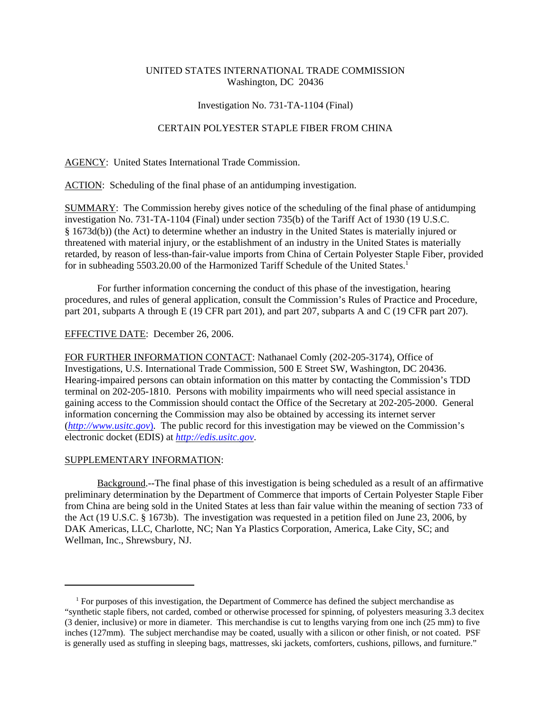## UNITED STATES INTERNATIONAL TRADE COMMISSION Washington, DC 20436

### Investigation No. 731-TA-1104 (Final)

## CERTAIN POLYESTER STAPLE FIBER FROM CHINA

AGENCY: United States International Trade Commission.

ACTION: Scheduling of the final phase of an antidumping investigation.

SUMMARY: The Commission hereby gives notice of the scheduling of the final phase of antidumping investigation No. 731-TA-1104 (Final) under section 735(b) of the Tariff Act of 1930 (19 U.S.C. § 1673d(b)) (the Act) to determine whether an industry in the United States is materially injured or threatened with material injury, or the establishment of an industry in the United States is materially retarded, by reason of less-than-fair-value imports from China of Certain Polyester Staple Fiber, provided for in subheading 5503.20.00 of the Harmonized Tariff Schedule of the United States.<sup>1</sup>

For further information concerning the conduct of this phase of the investigation, hearing procedures, and rules of general application, consult the Commission's Rules of Practice and Procedure, part 201, subparts A through E (19 CFR part 201), and part 207, subparts A and C (19 CFR part 207).

### EFFECTIVE DATE: December 26, 2006.

FOR FURTHER INFORMATION CONTACT: Nathanael Comly (202-205-3174), Office of Investigations, U.S. International Trade Commission, 500 E Street SW, Washington, DC 20436. Hearing-impaired persons can obtain information on this matter by contacting the Commission's TDD terminal on 202-205-1810. Persons with mobility impairments who will need special assistance in gaining access to the Commission should contact the Office of the Secretary at 202-205-2000. General information concerning the Commission may also be obtained by accessing its internet server (*http://www.usitc.gov*). The public record for this investigation may be viewed on the Commission's electronic docket (EDIS) at *http://edis.usitc.gov*.

# SUPPLEMENTARY INFORMATION:

Background.--The final phase of this investigation is being scheduled as a result of an affirmative preliminary determination by the Department of Commerce that imports of Certain Polyester Staple Fiber from China are being sold in the United States at less than fair value within the meaning of section 733 of the Act (19 U.S.C. § 1673b). The investigation was requested in a petition filed on June 23, 2006, by DAK Americas, LLC, Charlotte, NC; Nan Ya Plastics Corporation, America, Lake City, SC; and Wellman, Inc., Shrewsbury, NJ.

<sup>&</sup>lt;sup>1</sup> For purposes of this investigation, the Department of Commerce has defined the subject merchandise as "synthetic staple fibers, not carded, combed or otherwise processed for spinning, of polyesters measuring 3.3 decitex (3 denier, inclusive) or more in diameter. This merchandise is cut to lengths varying from one inch (25 mm) to five inches (127mm). The subject merchandise may be coated, usually with a silicon or other finish, or not coated. PSF is generally used as stuffing in sleeping bags, mattresses, ski jackets, comforters, cushions, pillows, and furniture."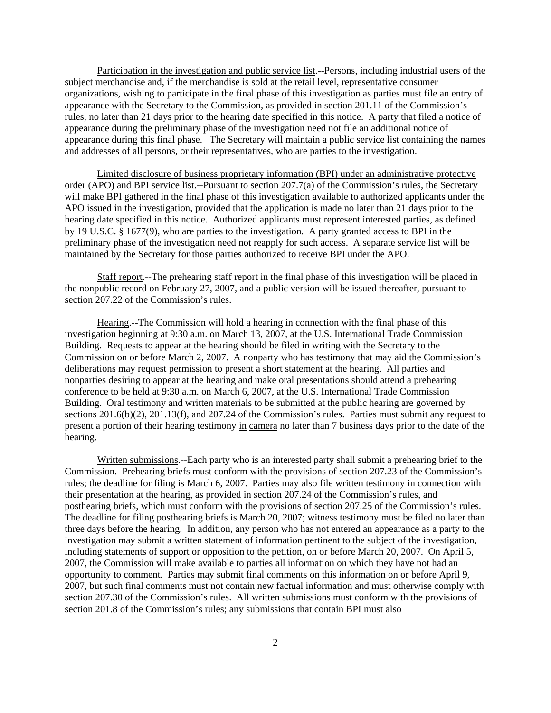Participation in the investigation and public service list.--Persons, including industrial users of the subject merchandise and, if the merchandise is sold at the retail level, representative consumer organizations, wishing to participate in the final phase of this investigation as parties must file an entry of appearance with the Secretary to the Commission, as provided in section 201.11 of the Commission's rules, no later than 21 days prior to the hearing date specified in this notice. A party that filed a notice of appearance during the preliminary phase of the investigation need not file an additional notice of appearance during this final phase. The Secretary will maintain a public service list containing the names and addresses of all persons, or their representatives, who are parties to the investigation.

Limited disclosure of business proprietary information (BPI) under an administrative protective order (APO) and BPI service list.--Pursuant to section 207.7(a) of the Commission's rules, the Secretary will make BPI gathered in the final phase of this investigation available to authorized applicants under the APO issued in the investigation, provided that the application is made no later than 21 days prior to the hearing date specified in this notice. Authorized applicants must represent interested parties, as defined by 19 U.S.C. § 1677(9), who are parties to the investigation. A party granted access to BPI in the preliminary phase of the investigation need not reapply for such access. A separate service list will be maintained by the Secretary for those parties authorized to receive BPI under the APO.

Staff report.--The prehearing staff report in the final phase of this investigation will be placed in the nonpublic record on February 27, 2007, and a public version will be issued thereafter, pursuant to section 207.22 of the Commission's rules.

Hearing.--The Commission will hold a hearing in connection with the final phase of this investigation beginning at 9:30 a.m. on March 13, 2007, at the U.S. International Trade Commission Building. Requests to appear at the hearing should be filed in writing with the Secretary to the Commission on or before March 2, 2007. A nonparty who has testimony that may aid the Commission's deliberations may request permission to present a short statement at the hearing. All parties and nonparties desiring to appear at the hearing and make oral presentations should attend a prehearing conference to be held at 9:30 a.m. on March 6, 2007, at the U.S. International Trade Commission Building. Oral testimony and written materials to be submitted at the public hearing are governed by sections 201.6(b)(2), 201.13(f), and 207.24 of the Commission's rules. Parties must submit any request to present a portion of their hearing testimony in camera no later than 7 business days prior to the date of the hearing.

Written submissions.--Each party who is an interested party shall submit a prehearing brief to the Commission. Prehearing briefs must conform with the provisions of section 207.23 of the Commission's rules; the deadline for filing is March 6, 2007. Parties may also file written testimony in connection with their presentation at the hearing, as provided in section 207.24 of the Commission's rules, and posthearing briefs, which must conform with the provisions of section 207.25 of the Commission's rules. The deadline for filing posthearing briefs is March 20, 2007; witness testimony must be filed no later than three days before the hearing. In addition, any person who has not entered an appearance as a party to the investigation may submit a written statement of information pertinent to the subject of the investigation, including statements of support or opposition to the petition, on or before March 20, 2007. On April 5, 2007, the Commission will make available to parties all information on which they have not had an opportunity to comment. Parties may submit final comments on this information on or before April 9, 2007, but such final comments must not contain new factual information and must otherwise comply with section 207.30 of the Commission's rules. All written submissions must conform with the provisions of section 201.8 of the Commission's rules; any submissions that contain BPI must also